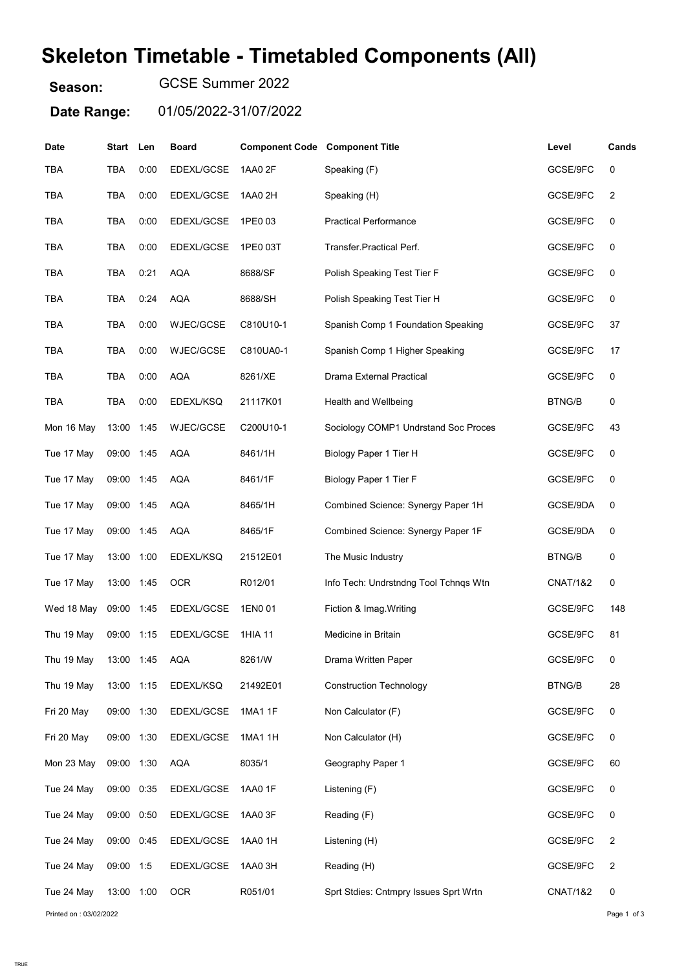## Skeleton Timetable - Timetabled Components (All)

Season: GCSE Summer 2022

Date Range: 01/05/2022-31/07/2022

| Date       | Start      | Len  | <b>Board</b> | <b>Component Code Component Title</b> |                                       | Level               | Cands |
|------------|------------|------|--------------|---------------------------------------|---------------------------------------|---------------------|-------|
| <b>TBA</b> | TBA        | 0:00 | EDEXL/GCSE   | 1AA0 2F                               | Speaking (F)                          | GCSE/9FC            | 0     |
| TBA        | TBA        | 0:00 | EDEXL/GCSE   | 1AA0 2H                               | Speaking (H)                          | GCSE/9FC            | 2     |
| TBA        | TBA        | 0:00 | EDEXL/GCSE   | 1PE0 03                               | <b>Practical Performance</b>          | GCSE/9FC            | 0     |
| <b>TBA</b> | TBA        | 0:00 | EDEXL/GCSE   | 1PE0 03T                              | Transfer Practical Perf.              | GCSE/9FC            | 0     |
| <b>TBA</b> | TBA        | 0:21 | <b>AQA</b>   | 8688/SF                               | Polish Speaking Test Tier F           | GCSE/9FC            | 0     |
| TBA        | TBA        | 0:24 | <b>AQA</b>   | 8688/SH                               | Polish Speaking Test Tier H           | GCSE/9FC            | 0     |
| <b>TBA</b> | <b>TBA</b> | 0:00 | WJEC/GCSE    | C810U10-1                             | Spanish Comp 1 Foundation Speaking    | GCSE/9FC            | 37    |
| <b>TBA</b> | TBA        | 0:00 | WJEC/GCSE    | C810UA0-1                             | Spanish Comp 1 Higher Speaking        | GCSE/9FC            | 17    |
| TBA        | TBA        | 0:00 | <b>AQA</b>   | 8261/XE                               | <b>Drama External Practical</b>       | GCSE/9FC            | 0     |
| <b>TBA</b> | TBA        | 0:00 | EDEXL/KSQ    | 21117K01                              | Health and Wellbeing                  | <b>BTNG/B</b>       | 0     |
| Mon 16 May | 13:00      | 1:45 | WJEC/GCSE    | C200U10-1                             | Sociology COMP1 Undrstand Soc Proces  | GCSE/9FC            | 43    |
| Tue 17 May | 09:00 1:45 |      | AQA          | 8461/1H                               | Biology Paper 1 Tier H                | GCSE/9FC            | 0     |
| Tue 17 May | 09:00 1:45 |      | <b>AQA</b>   | 8461/1F                               | Biology Paper 1 Tier F                | GCSE/9FC            | 0     |
| Tue 17 May | 09:00 1:45 |      | <b>AQA</b>   | 8465/1H                               | Combined Science: Synergy Paper 1H    | GCSE/9DA            | 0     |
| Tue 17 May | 09:00 1:45 |      | <b>AQA</b>   | 8465/1F                               | Combined Science: Synergy Paper 1F    | GCSE/9DA            | 0     |
| Tue 17 May | 13:00      | 1:00 | EDEXL/KSQ    | 21512E01                              | The Music Industry                    | <b>BTNG/B</b>       | 0     |
| Tue 17 May | 13:00      | 1:45 | <b>OCR</b>   | R012/01                               | Info Tech: Undrstndng Tool Tchnqs Wtn | <b>CNAT/1&amp;2</b> | 0     |
| Wed 18 May | 09:00      | 1:45 | EDEXL/GCSE   | 1EN0 01                               | Fiction & Imag. Writing               | GCSE/9FC            | 148   |
| Thu 19 May | 09:00      | 1:15 | EDEXL/GCSE   | 1HIA 11                               | Medicine in Britain                   | GCSE/9FC            | 81    |
| Thu 19 May | 13:00 1:45 |      | AQA          | 8261/W                                | Drama Written Paper                   | GCSE/9FC            | 0     |
| Thu 19 May | 13:00 1:15 |      | EDEXL/KSQ    | 21492E01                              | <b>Construction Technology</b>        | <b>BTNG/B</b>       | 28    |
| Fri 20 May | 09:00 1:30 |      | EDEXL/GCSE   | 1MA1 1F                               | Non Calculator (F)                    | GCSE/9FC            | 0     |
| Fri 20 May | 09:00 1:30 |      | EDEXL/GCSE   | 1MA1 1H                               | Non Calculator (H)                    | GCSE/9FC            | 0     |
| Mon 23 May | 09:00 1:30 |      | <b>AQA</b>   | 8035/1                                | Geography Paper 1                     | GCSE/9FC            | 60    |
| Tue 24 May | 09:00 0:35 |      | EDEXL/GCSE   | 1AA0 1F                               | Listening (F)                         | GCSE/9FC            | 0     |
| Tue 24 May | 09:00 0:50 |      | EDEXL/GCSE   | 1AA0 3F                               | Reading (F)                           | GCSE/9FC            | 0     |
| Tue 24 May | 09:00 0:45 |      | EDEXL/GCSE   | 1AA0 1H                               | Listening (H)                         | GCSE/9FC            | 2     |
| Tue 24 May | 09:00 1:5  |      | EDEXL/GCSE   | 1AA0 3H                               | Reading (H)                           | GCSE/9FC            | 2     |
| Tue 24 May | 13:00 1:00 |      | <b>OCR</b>   | R051/01                               | Sprt Stdies: Cntmpry Issues Sprt Wrtn | <b>CNAT/1&amp;2</b> | 0     |
|            |            |      |              |                                       |                                       |                     |       |

Printed on : 03/02/2022 **Page 1 of 3**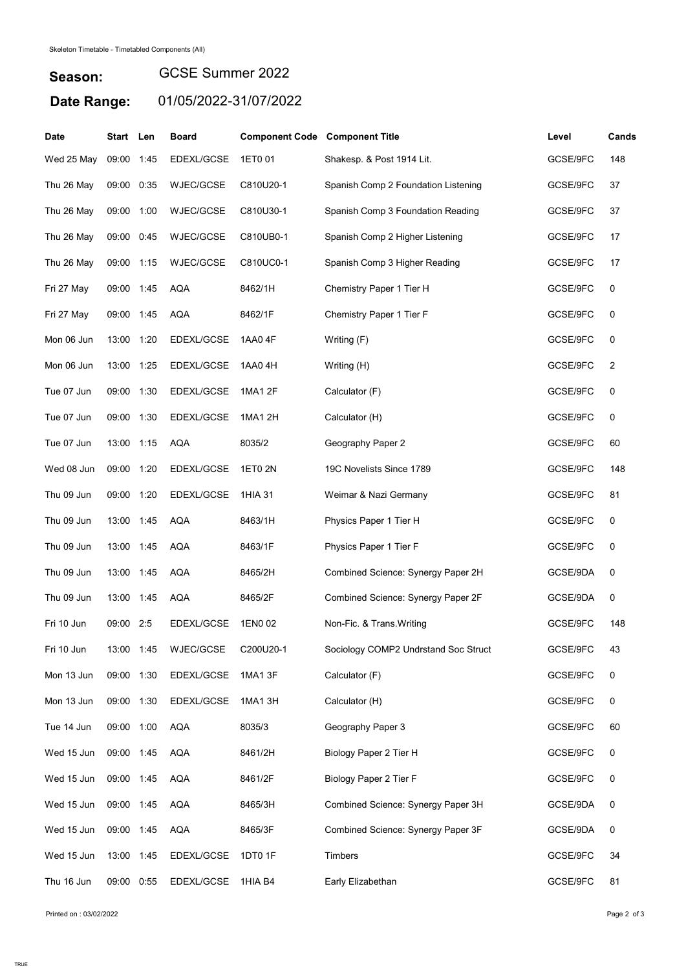## Season: Date Range: 01/05/2022-31/07/2022 GCSE Summer 2022

| <b>Date</b> | Start Len  |      | <b>Board</b>     | <b>Component Code Component Title</b> |                                      | Level    | Cands |
|-------------|------------|------|------------------|---------------------------------------|--------------------------------------|----------|-------|
| Wed 25 May  | 09:00      | 1:45 | EDEXL/GCSE       | 1ET0 01                               | Shakesp. & Post 1914 Lit.            | GCSE/9FC | 148   |
| Thu 26 May  | 09:00      | 0:35 | <b>WJEC/GCSE</b> | C810U20-1                             | Spanish Comp 2 Foundation Listening  | GCSE/9FC | 37    |
| Thu 26 May  | 09:00      | 1:00 | WJEC/GCSE        | C810U30-1                             | Spanish Comp 3 Foundation Reading    | GCSE/9FC | 37    |
| Thu 26 May  | 09:00      | 0:45 | <b>WJEC/GCSE</b> | C810UB0-1                             | Spanish Comp 2 Higher Listening      | GCSE/9FC | 17    |
| Thu 26 May  | 09:00 1:15 |      | <b>WJEC/GCSE</b> | C810UC0-1                             | Spanish Comp 3 Higher Reading        | GCSE/9FC | 17    |
| Fri 27 May  | 09:00 1:45 |      | <b>AQA</b>       | 8462/1H                               | Chemistry Paper 1 Tier H             | GCSE/9FC | 0     |
| Fri 27 May  | 09:00 1:45 |      | <b>AQA</b>       | 8462/1F                               | Chemistry Paper 1 Tier F             | GCSE/9FC | 0     |
| Mon 06 Jun  | 13:00      | 1:20 | EDEXL/GCSE       | 1AA0 4F                               | Writing (F)                          | GCSE/9FC | 0     |
| Mon 06 Jun  | 13:00 1:25 |      | EDEXL/GCSE       | 1AA0 4H                               | Writing (H)                          | GCSE/9FC | 2     |
| Tue 07 Jun  | 09:00      | 1:30 | EDEXL/GCSE       | 1MA1 2F                               | Calculator (F)                       | GCSE/9FC | 0     |
| Tue 07 Jun  | 09:00      | 1:30 | EDEXL/GCSE       | 1MA1 2H                               | Calculator (H)                       | GCSE/9FC | 0     |
| Tue 07 Jun  | 13:00 1:15 |      | AQA              | 8035/2                                | Geography Paper 2                    | GCSE/9FC | 60    |
| Wed 08 Jun  | 09:00 1:20 |      | EDEXL/GCSE       | 1ET0 2N                               | 19C Novelists Since 1789             | GCSE/9FC | 148   |
| Thu 09 Jun  | 09:00 1:20 |      | EDEXL/GCSE       | 1HIA 31                               | Weimar & Nazi Germany                | GCSE/9FC | 81    |
| Thu 09 Jun  | 13:00 1:45 |      | <b>AQA</b>       | 8463/1H                               | Physics Paper 1 Tier H               | GCSE/9FC | 0     |
| Thu 09 Jun  | 13:00 1:45 |      | <b>AQA</b>       | 8463/1F                               | Physics Paper 1 Tier F               | GCSE/9FC | 0     |
| Thu 09 Jun  | 13:00      | 1:45 | <b>AQA</b>       | 8465/2H                               | Combined Science: Synergy Paper 2H   | GCSE/9DA | 0     |
| Thu 09 Jun  | 13:00      | 1:45 | <b>AQA</b>       | 8465/2F                               | Combined Science: Synergy Paper 2F   | GCSE/9DA | 0     |
| Fri 10 Jun  | 09:00      | 2:5  | EDEXL/GCSE       | 1EN0 02                               | Non-Fic. & Trans. Writing            | GCSE/9FC | 148   |
| Fri 10 Jun  | 13:00 1:45 |      | WJEC/GCSE        | C200U20-1                             | Sociology COMP2 Undrstand Soc Struct | GCSE/9FC | 43    |
| Mon 13 Jun  | 09:00 1:30 |      | EDEXL/GCSE       | 1MA1 3F                               | Calculator (F)                       | GCSE/9FC | 0     |
| Mon 13 Jun  | 09:00 1:30 |      | EDEXL/GCSE       | 1MA1 3H                               | Calculator (H)                       | GCSE/9FC | 0     |
| Tue 14 Jun  | 09:00 1:00 |      | <b>AQA</b>       | 8035/3                                | Geography Paper 3                    | GCSE/9FC | 60    |
| Wed 15 Jun  | 09:00 1:45 |      | <b>AQA</b>       | 8461/2H                               | Biology Paper 2 Tier H               | GCSE/9FC | 0     |
| Wed 15 Jun  | 09:00 1:45 |      | <b>AQA</b>       | 8461/2F                               | Biology Paper 2 Tier F               | GCSE/9FC | 0     |
| Wed 15 Jun  | 09:00 1:45 |      | <b>AQA</b>       | 8465/3H                               | Combined Science: Synergy Paper 3H   | GCSE/9DA | 0     |
| Wed 15 Jun  | 09:00 1:45 |      | AQA              | 8465/3F                               | Combined Science: Synergy Paper 3F   | GCSE/9DA | 0     |
| Wed 15 Jun  | 13:00 1:45 |      | EDEXL/GCSE       | 1DT0 1F                               | Timbers                              | GCSE/9FC | 34    |
| Thu 16 Jun  | 09:00 0:55 |      | EDEXL/GCSE       | 1HIA B4                               | Early Elizabethan                    | GCSE/9FC | 81    |